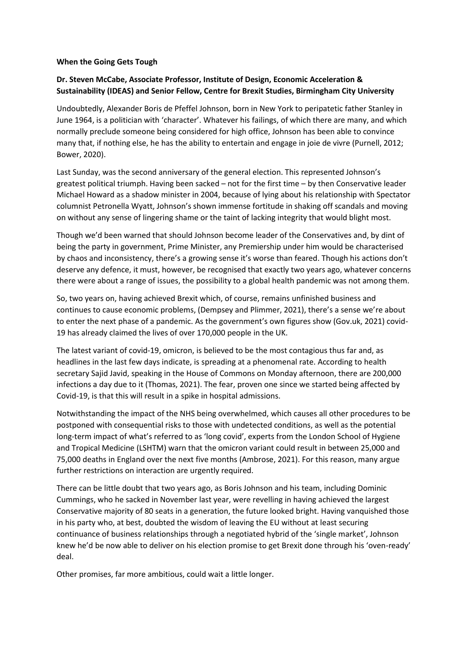## **When the Going Gets Tough**

## **Dr. Steven McCabe, Associate Professor, Institute of Design, Economic Acceleration & Sustainability (IDEAS) and Senior Fellow, Centre for Brexit Studies, Birmingham City University**

Undoubtedly, Alexander Boris de Pfeffel Johnson, born in New York to peripatetic father Stanley in June 1964, is a politician with 'character'. Whatever his failings, of which there are many, and which normally preclude someone being considered for high office, Johnson has been able to convince many that, if nothing else, he has the ability to entertain and engage in joie de vivre (Purnell, 2012; Bower, 2020).

Last Sunday, was the second anniversary of the general election. This represented Johnson's greatest political triumph. Having been sacked – not for the first time – by then Conservative leader Michael Howard as a shadow minister in 2004, because of lying about his relationship with Spectator columnist Petronella Wyatt, Johnson's shown immense fortitude in shaking off scandals and moving on without any sense of lingering shame or the taint of lacking integrity that would blight most.

Though we'd been warned that should Johnson become leader of the Conservatives and, by dint of being the party in government, Prime Minister, any Premiership under him would be characterised by chaos and inconsistency, there's a growing sense it's worse than feared. Though his actions don't deserve any defence, it must, however, be recognised that exactly two years ago, whatever concerns there were about a range of issues, the possibility to a global health pandemic was not among them.

So, two years on, having achieved Brexit which, of course, remains unfinished business and continues to cause economic problems, (Dempsey and Plimmer, 2021), there's a sense we're about to enter the next phase of a pandemic. As the government's own figures show (Gov.uk, 2021) covid-19 has already claimed the lives of over 170,000 people in the UK.

The latest variant of covid-19, omicron, is believed to be the most contagious thus far and, as headlines in the last few days indicate, is spreading at a phenomenal rate. According to health secretary Sajid Javid, speaking in the House of Commons on Monday afternoon, there are 200,000 infections a day due to it (Thomas, 2021). The fear, proven one since we started being affected by Covid-19, is that this will result in a spike in hospital admissions.

Notwithstanding the impact of the NHS being overwhelmed, which causes all other procedures to be postponed with consequential risks to those with undetected conditions, as well as the potential long-term impact of what's referred to as 'long covid', experts from the London School of Hygiene and Tropical Medicine (LSHTM) warn that the omicron variant could result in between 25,000 and 75,000 deaths in England over the next five months (Ambrose, 2021). For this reason, many argue further restrictions on interaction are urgently required.

There can be little doubt that two years ago, as Boris Johnson and his team, including Dominic Cummings, who he sacked in November last year, were revelling in having achieved the largest Conservative majority of 80 seats in a generation, the future looked bright. Having vanquished those in his party who, at best, doubted the wisdom of leaving the EU without at least securing continuance of business relationships through a negotiated hybrid of the 'single market', Johnson knew he'd be now able to deliver on his election promise to get Brexit done through his 'oven-ready' deal.

Other promises, far more ambitious, could wait a little longer.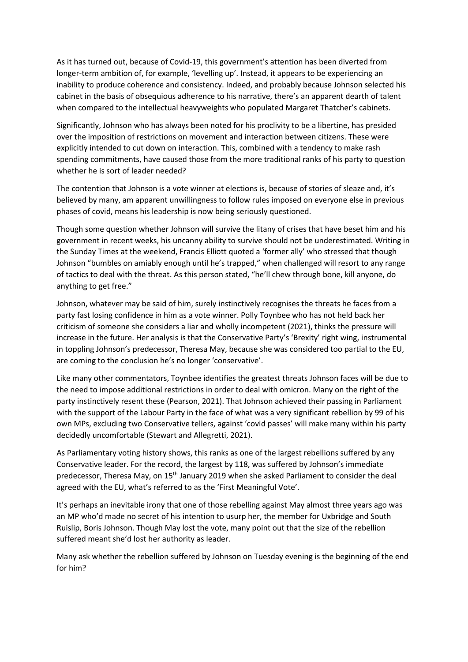As it has turned out, because of Covid-19, this government's attention has been diverted from longer-term ambition of, for example, 'levelling up'. Instead, it appears to be experiencing an inability to produce coherence and consistency. Indeed, and probably because Johnson selected his cabinet in the basis of obsequious adherence to his narrative, there's an apparent dearth of talent when compared to the intellectual heavyweights who populated Margaret Thatcher's cabinets.

Significantly, Johnson who has always been noted for his proclivity to be a libertine, has presided over the imposition of restrictions on movement and interaction between citizens. These were explicitly intended to cut down on interaction. This, combined with a tendency to make rash spending commitments, have caused those from the more traditional ranks of his party to question whether he is sort of leader needed?

The contention that Johnson is a vote winner at elections is, because of stories of sleaze and, it's believed by many, am apparent unwillingness to follow rules imposed on everyone else in previous phases of covid, means his leadership is now being seriously questioned.

Though some question whether Johnson will survive the litany of crises that have beset him and his government in recent weeks, his uncanny ability to survive should not be underestimated. Writing in the Sunday Times at the weekend, Francis Elliott quoted a 'former ally' who stressed that though Johnson "bumbles on amiably enough until he's trapped," when challenged will resort to any range of tactics to deal with the threat. As this person stated, "he'll chew through bone, kill anyone, do anything to get free."

Johnson, whatever may be said of him, surely instinctively recognises the threats he faces from a party fast losing confidence in him as a vote winner. Polly Toynbee who has not held back her criticism of someone she considers a liar and wholly incompetent (2021), thinks the pressure will increase in the future. Her analysis is that the Conservative Party's 'Brexity' right wing, instrumental in toppling Johnson's predecessor, Theresa May, because she was considered too partial to the EU, are coming to the conclusion he's no longer 'conservative'.

Like many other commentators, Toynbee identifies the greatest threats Johnson faces will be due to the need to impose additional restrictions in order to deal with omicron. Many on the right of the party instinctively resent these (Pearson, 2021). That Johnson achieved their passing in Parliament with the support of the Labour Party in the face of what was a very significant rebellion by 99 of his own MPs, excluding two Conservative tellers, against 'covid passes' will make many within his party decidedly uncomfortable (Stewart and Allegretti, 2021).

As Parliamentary voting history shows, this ranks as one of the largest rebellions suffered by any Conservative leader. For the record, the largest by 118, was suffered by Johnson's immediate predecessor, Theresa May, on 15<sup>th</sup> January 2019 when she asked Parliament to consider the deal agreed with the EU, what's referred to as the 'First Meaningful Vote'.

It's perhaps an inevitable irony that one of those rebelling against May almost three years ago was an MP who'd made no secret of his intention to usurp her, the member for Uxbridge and South Ruislip, Boris Johnson. Though May lost the vote, many point out that the size of the rebellion suffered meant she'd lost her authority as leader.

Many ask whether the rebellion suffered by Johnson on Tuesday evening is the beginning of the end for him?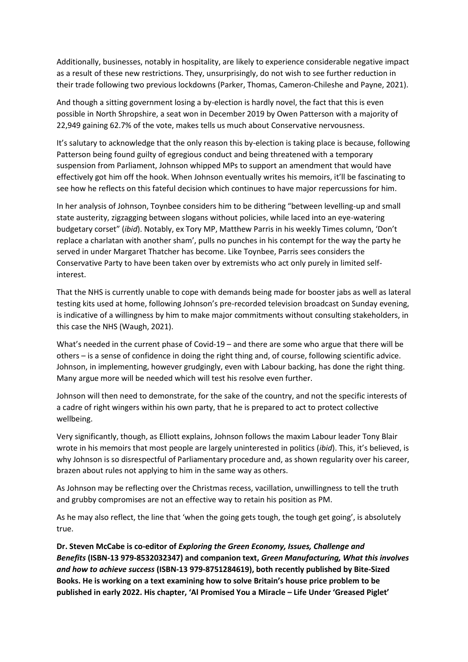Additionally, businesses, notably in hospitality, are likely to experience considerable negative impact as a result of these new restrictions. They, unsurprisingly, do not wish to see further reduction in their trade following two previous lockdowns (Parker, Thomas, Cameron-Chileshe and Payne, 2021).

And though a sitting government losing a by-election is hardly novel, the fact that this is even possible in North Shropshire, a seat won in December 2019 by Owen Patterson with a majority of 22,949 gaining 62.7% of the vote, makes tells us much about Conservative nervousness.

It's salutary to acknowledge that the only reason this by-election is taking place is because, following Patterson being found guilty of egregious conduct and being threatened with a temporary suspension from Parliament, Johnson whipped MPs to support an amendment that would have effectively got him off the hook. When Johnson eventually writes his memoirs, it'll be fascinating to see how he reflects on this fateful decision which continues to have major repercussions for him.

In her analysis of Johnson, Toynbee considers him to be dithering "between levelling-up and small state austerity, zigzagging between slogans without policies, while laced into an eye-watering budgetary corset" (*ibid*). Notably, ex Tory MP, Matthew Parris in his weekly Times column, 'Don't replace a charlatan with another sham', pulls no punches in his contempt for the way the party he served in under Margaret Thatcher has become. Like Toynbee, Parris sees considers the Conservative Party to have been taken over by extremists who act only purely in limited selfinterest.

That the NHS is currently unable to cope with demands being made for booster jabs as well as lateral testing kits used at home, following Johnson's pre-recorded television broadcast on Sunday evening, is indicative of a willingness by him to make major commitments without consulting stakeholders, in this case the NHS (Waugh, 2021).

What's needed in the current phase of Covid-19 – and there are some who argue that there will be others – is a sense of confidence in doing the right thing and, of course, following scientific advice. Johnson, in implementing, however grudgingly, even with Labour backing, has done the right thing. Many argue more will be needed which will test his resolve even further.

Johnson will then need to demonstrate, for the sake of the country, and not the specific interests of a cadre of right wingers within his own party, that he is prepared to act to protect collective wellbeing.

Very significantly, though, as Elliott explains, Johnson follows the maxim Labour leader Tony Blair wrote in his memoirs that most people are largely uninterested in politics (*ibid*). This, it's believed, is why Johnson is so disrespectful of Parliamentary procedure and, as shown regularity over his career, brazen about rules not applying to him in the same way as others.

As Johnson may be reflecting over the Christmas recess, vacillation, unwillingness to tell the truth and grubby compromises are not an effective way to retain his position as PM.

As he may also reflect, the line that 'when the going gets tough, the tough get going', is absolutely true.

**Dr. Steven McCabe is co-editor of** *Exploring the Green Economy, Issues, Challenge and Benefits* **(ISBN-13 979-8532032347) and companion text,** *Green Manufacturing, What this involves and how to achieve success* **(ISBN-13 979-8751284619), both recently published by Bite-Sized Books. He is working on a text examining how to solve Britain's house price problem to be published in early 2022. His chapter, 'Al Promised You a Miracle – Life Under 'Greased Piglet'**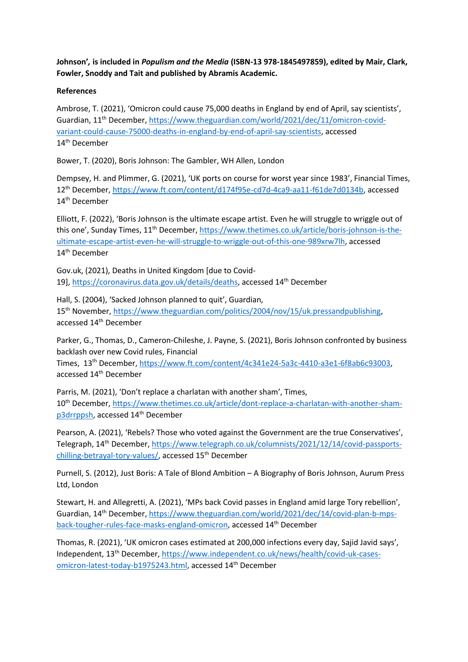**Johnson'***,* **is included in** *Populism and the Media* **(ISBN-13 978-1845497859), edited by Mair, Clark, Fowler, Snoddy and Tait and published by Abramis Academic.**

## **References**

Ambrose, T. (2021), 'Omicron could cause 75,000 deaths in England by end of April, say scientists', Guardian, 11th December, [https://www.theguardian.com/world/2021/dec/11/omicron-covid](https://www.theguardian.com/world/2021/dec/11/omicron-covid-variant-could-cause-75000-deaths-in-england-by-end-of-april-say-scientists)[variant-could-cause-75000-deaths-in-england-by-end-of-april-say-scientists,](https://www.theguardian.com/world/2021/dec/11/omicron-covid-variant-could-cause-75000-deaths-in-england-by-end-of-april-say-scientists) accessed 14th December

Bower, T. (2020), Boris Johnson: The Gambler, WH Allen, London

Dempsey, H. and Plimmer, G. (2021), 'UK ports on course for worst year since 1983', Financial Times, 12th December, [https://www.ft.com/content/d174f95e-cd7d-4ca9-aa11-f61de7d0134b,](https://www.ft.com/content/d174f95e-cd7d-4ca9-aa11-f61de7d0134b) accessed 14<sup>th</sup> December

Elliott, F. (2022), 'Boris Johnson is the ultimate escape artist. Even he will struggle to wriggle out of this one', Sunday Times, 11<sup>th</sup> December, [https://www.thetimes.co.uk/article/boris-johnson-is-the](https://www.thetimes.co.uk/article/boris-johnson-is-the-ultimate-escape-artist-even-he-will-struggle-to-wriggle-out-of-this-one-989xrw7lh)[ultimate-escape-artist-even-he-will-struggle-to-wriggle-out-of-this-one-989xrw7lh,](https://www.thetimes.co.uk/article/boris-johnson-is-the-ultimate-escape-artist-even-he-will-struggle-to-wriggle-out-of-this-one-989xrw7lh) accessed 14<sup>th</sup> December

Gov.uk, (2021), Deaths in United Kingdom [due to Covid19], [https://coronavirus.data.gov.uk/details/deaths,](https://coronavirus.data.gov.uk/details/deaths) accessed 14<sup>th</sup> December

Hall, S. (2004), 'Sacked Johnson planned to quit', Guardian,

15th November, [https://www.theguardian.com/politics/2004/nov/15/uk.pressandpublishing,](https://www.theguardian.com/politics/2004/nov/15/uk.pressandpublishing) accessed 14<sup>th</sup> December

Parker, G., Thomas, D., Cameron-Chileshe, J. Payne, S. (2021), Boris Johnson confronted by business backlash over new Covid rules, Financial

Times, 13<sup>th</sup> December, [https://www.ft.com/content/4c341e24-5a3c-4410-a3e1-6f8ab6c93003,](https://www.ft.com/content/4c341e24-5a3c-4410-a3e1-6f8ab6c93003) accessed 14th December

Parris, M. (2021), 'Don't replace a charlatan with another sham', Times, 10th December, [https://www.thetimes.co.uk/article/dont-replace-a-charlatan-with-another-sham](https://www.thetimes.co.uk/article/dont-replace-a-charlatan-with-another-sham-p3drrppsh)[p3drrppsh,](https://www.thetimes.co.uk/article/dont-replace-a-charlatan-with-another-sham-p3drrppsh) accessed 14<sup>th</sup> December

Pearson, A. (2021), 'Rebels? Those who voted against the Government are the true Conservatives', Telegraph, 14th December, [https://www.telegraph.co.uk/columnists/2021/12/14/covid-passports](https://www.telegraph.co.uk/columnists/2021/12/14/covid-passports-chilling-betrayal-tory-values/)[chilling-betrayal-tory-values/,](https://www.telegraph.co.uk/columnists/2021/12/14/covid-passports-chilling-betrayal-tory-values/) accessed 15<sup>th</sup> December

Purnell, S. (2012), Just Boris: A Tale of Blond Ambition – A Biography of Boris Johnson, Aurum Press Ltd, London

Stewart, H. and Allegretti, A. (2021), 'MPs back Covid passes in England amid large Tory rebellion', Guardian, 14th December, [https://www.theguardian.com/world/2021/dec/14/covid-plan-b-mps](https://www.theguardian.com/world/2021/dec/14/covid-plan-b-mps-back-tougher-rules-face-masks-england-omicron)[back-tougher-rules-face-masks-england-omicron,](https://www.theguardian.com/world/2021/dec/14/covid-plan-b-mps-back-tougher-rules-face-masks-england-omicron) accessed 14<sup>th</sup> December

Thomas, R. (2021), 'UK omicron cases estimated at 200,000 infections every day, Sajid Javid says', Independent, 13th December, [https://www.independent.co.uk/news/health/covid-uk-cases](https://www.independent.co.uk/news/health/covid-uk-cases-omicron-latest-today-b1975243.html)[omicron-latest-today-b1975243.html,](https://www.independent.co.uk/news/health/covid-uk-cases-omicron-latest-today-b1975243.html) accessed 14th December